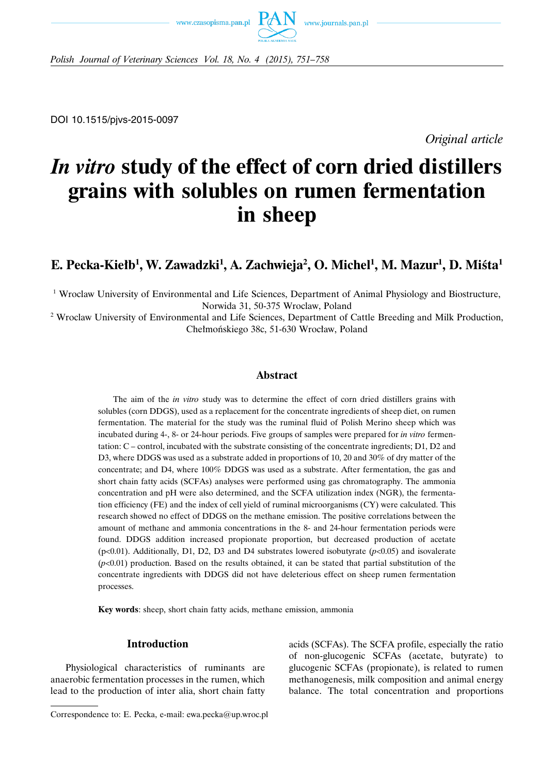



*Polish Journal of Veterinary Sciences Vol. 18, No. 4 (2015), 751–758*

DOI 10.1515/pjvs-2015-0097

*Original article*

# *In vitro* **study of the effect of corn dried distillers grains with solubles on rumen fermentation in sheep**

## **E. Pecka-Kiełb1 , W. Zawadzki1 , A. Zachwieja2 , O. Michel1 , M. Mazur1 , D. Miśta1**

<sup>1</sup> Wroclaw University of Environmental and Life Sciences, Department of Animal Physiology and Biostructure, Norwida 31, 50-375 Wroclaw, Poland

<sup>2</sup> Wroclaw University of Environmental and Life Sciences, Department of Cattle Breeding and Milk Production, Chełmońskiego 38c, 51-630 Wrocław, Poland

## **Abstract**

The aim of the *in vitro* study was to determine the effect of corn dried distillers grains with solubles (corn DDGS), used as a replacement for the concentrate ingredients of sheep diet, on rumen fermentation. The material for the study was the ruminal fluid of Polish Merino sheep which was incubated during 4-, 8- or 24-hour periods. Five groups of samples were prepared for *in vitro* fermentation: C – control, incubated with the substrate consisting of the concentrate ingredients; D1, D2 and D3, where DDGS was used as a substrate added in proportions of 10, 20 and 30% of dry matter of the concentrate; and D4, where 100% DDGS was used as a substrate. After fermentation, the gas and short chain fatty acids (SCFAs) analyses were performed using gas chromatography. The ammonia concentration and pH were also determined, and the SCFA utilization index (NGR), the fermentation efficiency (FE) and the index of cell yield of ruminal microorganisms (CY) were calculated. This research showed no effect of DDGS on the methane emission. The positive correlations between the amount of methane and ammonia concentrations in the 8- and 24-hour fermentation periods were found. DDGS addition increased propionate proportion, but decreased production of acetate (p<0.01). Additionally, D1, D2, D3 and D4 substrates lowered isobutyrate (*p*<0.05) and isovalerate  $(p<0.01)$  production. Based on the results obtained, it can be stated that partial substitution of the concentrate ingredients with DDGS did not have deleterious effect on sheep rumen fermentation processes.

**Key words**: sheep, short chain fatty acids, methane emission, ammonia

## **Introduction**

Physiological characteristics of ruminants are anaerobic fermentation processes in the rumen, which lead to the production of inter alia, short chain fatty

Correspondence to: E. Pecka, e-mail: ewa.pecka@up.wroc.pl

acids (SCFAs). The SCFA profile, especially the ratio of non-glucogenic SCFAs (acetate, butyrate) to glucogenic SCFAs (propionate), is related to rumen methanogenesis, milk composition and animal energy balance. The total concentration and proportions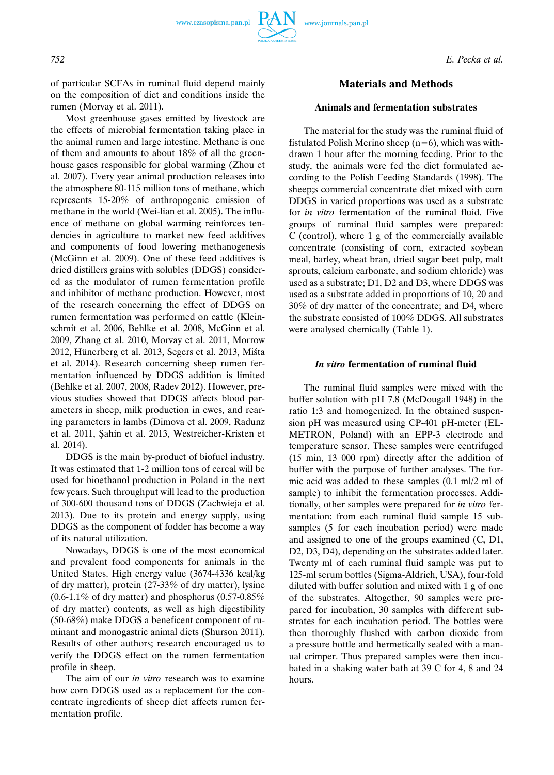of particular SCFAs in ruminal fluid depend mainly on the composition of diet and conditions inside the rumen (Morvay et al. 2011).

Most greenhouse gases emitted by livestock are the effects of microbial fermentation taking place in the animal rumen and large intestine. Methane is one of them and amounts to about 18% of all the greenhouse gases responsible for global warming (Zhou et al. 2007). Every year animal production releases into the atmosphere 80-115 million tons of methane, which represents 15-20% of anthropogenic emission of methane in the world (Wei-lian et al. 2005). The influence of methane on global warming reinforces tendencies in agriculture to market new feed additives and components of food lowering methanogenesis (McGinn et al. 2009). One of these feed additives is dried distillers grains with solubles (DDGS) considered as the modulator of rumen fermentation profile and inhibitor of methane production. However, most of the research concerning the effect of DDGS on rumen fermentation was performed on cattle (Kleinschmit et al. 2006, Behlke et al. 2008, McGinn et al. 2009, Zhang et al. 2010, Morvay et al. 2011, Morrow 2012, Hünerberg et al. 2013, Segers et al. 2013, Mista et al. 2014). Research concerning sheep rumen fermentation influenced by DDGS addition is limited (Behlke et al. 2007, 2008, Radev 2012). However, previous studies showed that DDGS affects blood parameters in sheep, milk production in ewes, and rearing parameters in lambs (Dimova et al. 2009, Radunz et al. 2011, Sahin et al. 2013, Westreicher-Kristen et al. 2014).

DDGS is the main by-product of biofuel industry. It was estimated that 1-2 million tons of cereal will be used for bioethanol production in Poland in the next few years. Such throughput will lead to the production of 300-600 thousand tons of DDGS (Zachwieja et al. 2013). Due to its protein and energy supply, using DDGS as the component of fodder has become a way of its natural utilization.

Nowadays, DDGS is one of the most economical and prevalent food components for animals in the United States. High energy value (3674-4336 kcal/kg of dry matter), protein (27-33% of dry matter), lysine  $(0.6-1.1\%$  of dry matter) and phosphorus  $(0.57-0.85\%$ of dry matter) contents, as well as high digestibility (50-68%) make DDGS a beneficent component of ruminant and monogastric animal diets (Shurson 2011). Results of other authors; research encouraged us to verify the DDGS effect on the rumen fermentation profile in sheep.

The aim of our *in vitro* research was to examine how corn DDGS used as a replacement for the concentrate ingredients of sheep diet affects rumen fermentation profile.

## **Materials and Methods**

## **Animals and fermentation substrates**

The material for the study was the ruminal fluid of fistulated Polish Merino sheep  $(n=6)$ , which was withdrawn 1 hour after the morning feeding. Prior to the study, the animals were fed the diet formulated according to the Polish Feeding Standards (1998). The sheep;s commercial concentrate diet mixed with corn DDGS in varied proportions was used as a substrate for *in vitro* fermentation of the ruminal fluid. Five groups of ruminal fluid samples were prepared: C (control), where 1 g of the commercially available concentrate (consisting of corn, extracted soybean meal, barley, wheat bran, dried sugar beet pulp, malt sprouts, calcium carbonate, and sodium chloride) was used as a substrate; D1, D2 and D3, where DDGS was used as a substrate added in proportions of 10, 20 and 30% of dry matter of the concentrate; and D4, where the substrate consisted of 100% DDGS. All substrates were analysed chemically (Table 1).

#### *In vitro* **fermentation of ruminal fluid**

The ruminal fluid samples were mixed with the buffer solution with pH 7.8 (McDougall 1948) in the ratio 1:3 and homogenized. In the obtained suspension pH was measured using CP-401 pH-meter (EL-METRON, Poland) with an EPP-3 electrode and temperature sensor. These samples were centrifuged (15 min, 13 000 rpm) directly after the addition of buffer with the purpose of further analyses. The formic acid was added to these samples (0.1 ml/2 ml of sample) to inhibit the fermentation processes. Additionally, other samples were prepared for *in vitro* fermentation: from each ruminal fluid sample 15 subsamples (5 for each incubation period) were made and assigned to one of the groups examined (C, D1, D<sub>2</sub>, D<sub>3</sub>, D<sub>4</sub>), depending on the substrates added later. Twenty ml of each ruminal fluid sample was put to 125-ml serum bottles (Sigma-Aldrich, USA), four-fold diluted with buffer solution and mixed with 1 g of one of the substrates. Altogether, 90 samples were prepared for incubation, 30 samples with different substrates for each incubation period. The bottles were then thoroughly flushed with carbon dioxide from a pressure bottle and hermetically sealed with a manual crimper. Thus prepared samples were then incubated in a shaking water bath at 39 C for 4, 8 and 24 hours.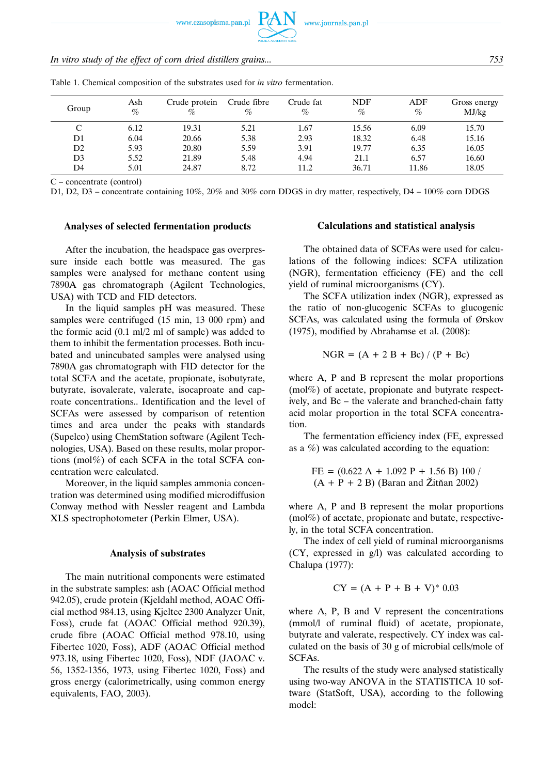www.czasopisma.pan.pl

| In vitro study of the effect of corn dried distillers grains | 753 |
|--------------------------------------------------------------|-----|
|--------------------------------------------------------------|-----|

| Group          | Ash<br>$\%$ | Crude protein<br>% | Crude fibre<br>$\%$ | Crude fat<br>$\%$ | <b>NDF</b><br>% | ADF<br>$\%$ | Gross energy<br>MJ/kg |
|----------------|-------------|--------------------|---------------------|-------------------|-----------------|-------------|-----------------------|
| C              | 6.12        | 19.31              | 5.21                | 1.67              | 15.56           | 6.09        | 15.70                 |
| D1             | 6.04        | 20.66              | 5.38                | 2.93              | 18.32           | 6.48        | 15.16                 |
| D2             | 5.93        | 20.80              | 5.59                | 3.91              | 19.77           | 6.35        | 16.05                 |
| D <sub>3</sub> | 5.52        | 21.89              | 5.48                | 4.94              | 21.1            | 6.57        | 16.60                 |
| D4             | 5.01        | 24.87              | 8.72                | 11.2              | 36.71           | 11.86       | 18.05                 |

Table 1. Chemical composition of the substrates used for *in vitro* fermentation.

C – concentrate (control)

D1, D2, D3 – concentrate containing 10%, 20% and 30% corn DDGS in dry matter, respectively, D4 – 100% corn DDGS

#### **Analyses of selected fermentation products**

After the incubation, the headspace gas overpressure inside each bottle was measured. The gas samples were analysed for methane content using 7890A gas chromatograph (Agilent Technologies, USA) with TCD and FID detectors.

In the liquid samples pH was measured. These samples were centrifuged (15 min, 13 000 rpm) and the formic acid (0.1 ml/2 ml of sample) was added to them to inhibit the fermentation processes. Both incubated and unincubated samples were analysed using 7890A gas chromatograph with FID detector for the total SCFA and the acetate, propionate, isobutyrate, butyrate, isovalerate, valerate, isocaproate and caproate concentrations.. Identification and the level of SCFAs were assessed by comparison of retention times and area under the peaks with standards (Supelco) using ChemStation software (Agilent Technologies, USA). Based on these results, molar proportions (mol%) of each SCFA in the total SCFA concentration were calculated.

Moreover, in the liquid samples ammonia concentration was determined using modified microdiffusion Conway method with Nessler reagent and Lambda XLS spectrophotometer (Perkin Elmer, USA).

#### **Analysis of substrates**

The main nutritional components were estimated in the substrate samples: ash (AOAC Official method 942.05), crude protein (Kjeldahl method, AOAC Official method 984.13, using Kjeltec 2300 Analyzer Unit, Foss), crude fat (AOAC Official method 920.39), crude fibre (AOAC Official method 978.10, using Fibertec 1020, Foss), ADF (AOAC Official method 973.18, using Fibertec 1020, Foss), NDF (JAOAC v. 56, 1352-1356, 1973, using Fibertec 1020, Foss) and gross energy (calorimetrically, using common energy equivalents, FAO, 2003).

### **Calculations and statistical analysis**

The obtained data of SCFAs were used for calculations of the following indices: SCFA utilization (NGR), fermentation efficiency (FE) and the cell yield of ruminal microorganisms (CY).

The SCFA utilization index (NGR), expressed as the ratio of non-glucogenic SCFAs to glucogenic SCFAs, was calculated using the formula of Ørskov (1975), modified by Abrahamse et al. (2008):

$$
NGR = (A + 2 B + Bc) / (P + Bc)
$$

where A, P and B represent the molar proportions (mol%) of acetate, propionate and butyrate respectively, and Bc – the valerate and branched-chain fatty acid molar proportion in the total SCFA concentration.

The fermentation efficiency index (FE, expressed as a %) was calculated according to the equation:

$$
FE = (0.622 \text{ A} + 1.092 \text{ P} + 1.56 \text{ B}) 100 / (\text{A} + \text{P} + 2 \text{ B})
$$
 (Baran and Žitñan 2002)

where A, P and B represent the molar proportions (mol%) of acetate, propionate and butate, respectively, in the total SCFA concentration.

The index of cell yield of ruminal microorganisms (CY, expressed in g/l) was calculated according to Chalupa (1977):

$$
CY = (A + P + B + V)^* 0.03
$$

where A, P, B and V represent the concentrations (mmol/l of ruminal fluid) of acetate, propionate, butyrate and valerate, respectively. CY index was calculated on the basis of 30 g of microbial cells/mole of SCFAs.

The results of the study were analysed statistically using two-way ANOVA in the STATISTICA 10 software (StatSoft, USA), according to the following model: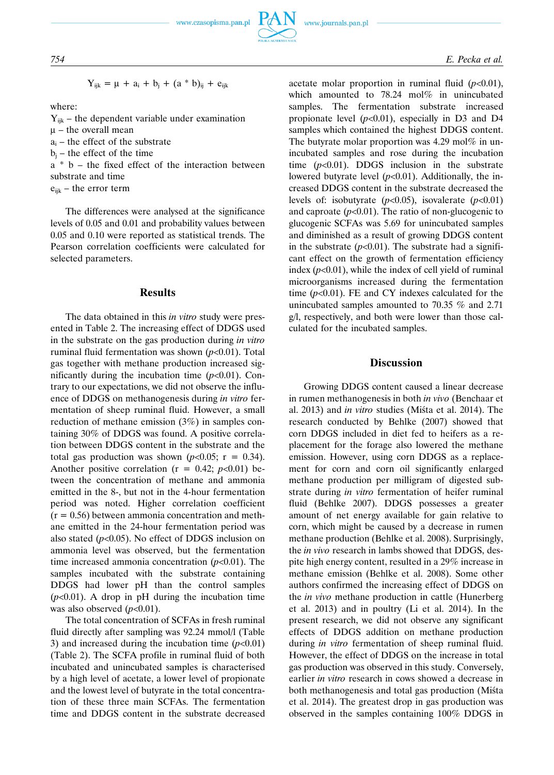$$
Y_{ijk} = \mu + a_i + b_j + (a * b)_{ij} + e_{ijk}
$$

where:

$$
Y_{ijk}
$$
 – the dependent variable under examination

- $\mu$  the overall mean
- $a_i$  the effect of the substrate
- $b_i$  the effect of the time

a \* b – the fixed effect of the interaction between substrate and time

 $e_{ijk}$  – the error term

The differences were analysed at the significance levels of 0.05 and 0.01 and probability values between 0.05 and 0.10 were reported as statistical trends. The Pearson correlation coefficients were calculated for selected parameters.

#### **Results**

The data obtained in this *in vitro* study were presented in Table 2. The increasing effect of DDGS used in the substrate on the gas production during *in vitro* ruminal fluid fermentation was shown  $(p<0.01)$ . Total gas together with methane production increased significantly during the incubation time  $(p<0.01)$ . Contrary to our expectations, we did not observe the influence of DDGS on methanogenesis during *in vitro* fermentation of sheep ruminal fluid. However, a small reduction of methane emission (3%) in samples containing 30% of DDGS was found. A positive correlation between DDGS content in the substrate and the total gas production was shown  $(p<0.05; r = 0.34)$ . Another positive correlation ( $r = 0.42$ ;  $p < 0.01$ ) between the concentration of methane and ammonia emitted in the 8-, but not in the 4-hour fermentation period was noted. Higher correlation coefficient  $(r = 0.56)$  between ammonia concentration and methane emitted in the 24-hour fermentation period was also stated  $(p<0.05)$ . No effect of DDGS inclusion on ammonia level was observed, but the fermentation time increased ammonia concentration (*p*<0.01). The samples incubated with the substrate containing DDGS had lower pH than the control samples  $(p<0.01)$ . A drop in pH during the incubation time was also observed ( $p<0.01$ ).

The total concentration of SCFAs in fresh ruminal fluid directly after sampling was 92.24 mmol/l (Table 3) and increased during the incubation time  $(p<0.01)$ (Table 2). The SCFA profile in ruminal fluid of both incubated and unincubated samples is characterised by a high level of acetate, a lower level of propionate and the lowest level of butyrate in the total concentration of these three main SCFAs. The fermentation time and DDGS content in the substrate decreased acetate molar proportion in ruminal fluid  $(p<0.01)$ , which amounted to 78.24 mol% in unincubated samples. The fermentation substrate increased propionate level  $(p<0.01)$ , especially in D3 and D4 samples which contained the highest DDGS content. The butyrate molar proportion was  $4.29 \text{ mol\%}$  in unincubated samples and rose during the incubation time  $(p<0.01)$ . DDGS inclusion in the substrate lowered butyrate level  $(p<0.01)$ . Additionally, the increased DDGS content in the substrate decreased the levels of: isobutyrate  $(p<0.05)$ , isovalerate  $(p<0.01)$ and caproate  $(p<0.01)$ . The ratio of non-glucogenic to glucogenic SCFAs was 5.69 for unincubated samples and diminished as a result of growing DDGS content in the substrate  $(p<0.01)$ . The substrate had a significant effect on the growth of fermentation efficiency index  $(p<0.01)$ , while the index of cell yield of ruminal microorganisms increased during the fermentation time (*p*<0.01). FE and CY indexes calculated for the unincubated samples amounted to 70.35 % and 2.71 g/l, respectively, and both were lower than those calculated for the incubated samples.

## **Discussion**

Growing DDGS content caused a linear decrease in rumen methanogenesis in both *in vivo* (Benchaar et al. 2013) and *in vitro* studies (Miśta et al. 2014). The research conducted by Behlke (2007) showed that corn DDGS included in diet fed to heifers as a replacement for the forage also lowered the methane emission. However, using corn DDGS as a replacement for corn and corn oil significantly enlarged methane production per milligram of digested substrate during *in vitro* fermentation of heifer ruminal fluid (Behlke 2007). DDGS possesses a greater amount of net energy available for gain relative to corn, which might be caused by a decrease in rumen methane production (Behlke et al. 2008). Surprisingly, the *in vivo* research in lambs showed that DDGS, despite high energy content, resulted in a 29% increase in methane emission (Behlke et al. 2008). Some other authors confirmed the increasing effect of DDGS on the *in vivo* methane production in cattle (Hunerberg et al. 2013) and in poultry (Li et al. 2014). In the present research, we did not observe any significant effects of DDGS addition on methane production during *in vitro* fermentation of sheep ruminal fluid. However, the effect of DDGS on the increase in total gas production was observed in this study. Conversely, earlier *in vitro* research in cows showed a decrease in both methanogenesis and total gas production (Miśta et al. 2014). The greatest drop in gas production was observed in the samples containing 100% DDGS in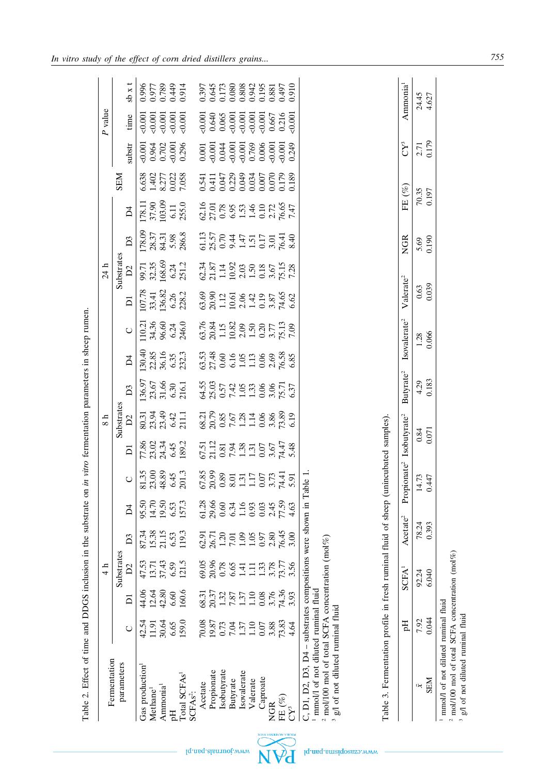| Fermentation                                                                                    |                                        |                                                                      | $\frac{1}{4}$           |                                             |                                                 |                                                                |                                                                                                    | $\frac{8}{1}$                                                   |                                                                                          |                                                                                                            |                                                                                                                          |                                                                                                                                             | 24 h                                                                                                     |                                                                                           |                                                                                                                  |                                        |                                                                                                 | P value                                                                                                                                                                                                                                                               |                                                    |
|-------------------------------------------------------------------------------------------------|----------------------------------------|----------------------------------------------------------------------|-------------------------|---------------------------------------------|-------------------------------------------------|----------------------------------------------------------------|----------------------------------------------------------------------------------------------------|-----------------------------------------------------------------|------------------------------------------------------------------------------------------|------------------------------------------------------------------------------------------------------------|--------------------------------------------------------------------------------------------------------------------------|---------------------------------------------------------------------------------------------------------------------------------------------|----------------------------------------------------------------------------------------------------------|-------------------------------------------------------------------------------------------|------------------------------------------------------------------------------------------------------------------|----------------------------------------|-------------------------------------------------------------------------------------------------|-----------------------------------------------------------------------------------------------------------------------------------------------------------------------------------------------------------------------------------------------------------------------|----------------------------------------------------|
| parameters                                                                                      |                                        |                                                                      | Substrates              |                                             |                                                 |                                                                |                                                                                                    | Substrates                                                      |                                                                                          |                                                                                                            |                                                                                                                          |                                                                                                                                             | Substrates                                                                                               |                                                                                           |                                                                                                                  | <b>NES</b>                             |                                                                                                 |                                                                                                                                                                                                                                                                       |                                                    |
|                                                                                                 | $\cup$                                 | $\overline{\mathsf{d}}$                                              | D2                      | D <sub>3</sub>                              | $\overline{\Delta}$                             | $\bigcirc$                                                     | $\overline{D}$                                                                                     | D2                                                              | D <sub>3</sub>                                                                           | $\overline{D}4$                                                                                            | $\bigcirc$                                                                                                               | $\overline{D}$                                                                                                                              | D2                                                                                                       | D <sub>3</sub>                                                                            | $\overline{\mathsf{d}}$                                                                                          |                                        | substr                                                                                          | time                                                                                                                                                                                                                                                                  | $3b \times t$                                      |
| Gas production                                                                                  |                                        |                                                                      |                         |                                             |                                                 |                                                                |                                                                                                    |                                                                 |                                                                                          |                                                                                                            |                                                                                                                          |                                                                                                                                             |                                                                                                          |                                                                                           |                                                                                                                  | 6.638                                  |                                                                                                 |                                                                                                                                                                                                                                                                       | 0.996                                              |
| Methane <sup>1</sup>                                                                            | 42.54<br>11.91                         | 44.06<br>12.64<br>42.80                                              | 47.53<br>13.71<br>37.43 | 87.34<br>15.38<br>21.15                     | 95.50<br>14.70                                  | 81.35<br>23.00<br>48.89                                        | 77.86<br>23.02<br>24.34                                                                            | 80.31<br>23.34<br>23.42<br>511.1                                |                                                                                          |                                                                                                            |                                                                                                                          |                                                                                                                                             |                                                                                                          |                                                                                           | $\begin{array}{c} 178.11 \\ 37.90 \\ 103.09 \\ 6.11 \\ 255.0 \end{array}$                                        |                                        |                                                                                                 |                                                                                                                                                                                                                                                                       | 0.977                                              |
| Ammonia <sup>1</sup>                                                                            | 30.64                                  |                                                                      |                         |                                             | 19.50                                           |                                                                |                                                                                                    |                                                                 |                                                                                          |                                                                                                            |                                                                                                                          |                                                                                                                                             |                                                                                                          |                                                                                           |                                                                                                                  |                                        |                                                                                                 |                                                                                                                                                                                                                                                                       | 0.789                                              |
| $\rm H_{0}$                                                                                     | 6.65                                   | 6.60                                                                 | 6.59                    | 6.53                                        | 6.53<br>157.3                                   | $6.45$<br>201.3                                                | 6.45                                                                                               |                                                                 |                                                                                          |                                                                                                            |                                                                                                                          |                                                                                                                                             |                                                                                                          |                                                                                           |                                                                                                                  |                                        |                                                                                                 |                                                                                                                                                                                                                                                                       | 0.449                                              |
| Total SCFAs                                                                                     | 159.0                                  | 160.6                                                                | 121.5                   | 119.3                                       |                                                 |                                                                | 189.2                                                                                              |                                                                 | $\begin{array}{c} 136.97 \\ 23.67 \\ 31.66 \\ 6.30 \\ 216.1 \end{array}$                 | 130.40<br>22.85<br>36.16<br>6.35<br>232.3                                                                  | 110.21<br>34.36<br>96.60<br>6.24<br>246.0                                                                                | 107.78<br>33.41<br>136.82<br>6.26<br>228.2                                                                                                  | 99.71<br>32.35<br>168.69<br>6.24<br>251.2                                                                | $\begin{array}{c} 178.09 \\ 28.37 \\ 84.31 \\ 5.98 \\ 286.8 \end{array}$                  |                                                                                                                  | $\frac{1402}{8.277}$<br>0.023<br>7.058 | $0.964$<br>$0.962$<br>$0.702$<br>$0.296$<br>$0.296$                                             | &0.001                                                                                                                                                                                                                                                                | 0.914                                              |
| SCFAs <sup>2</sup> :                                                                            |                                        |                                                                      |                         |                                             |                                                 |                                                                |                                                                                                    |                                                                 |                                                                                          |                                                                                                            |                                                                                                                          |                                                                                                                                             |                                                                                                          |                                                                                           |                                                                                                                  |                                        |                                                                                                 |                                                                                                                                                                                                                                                                       |                                                    |
| Acetate                                                                                         | 70.08<br>19.87<br>1.37<br>1.37<br>1.10 | 68.31                                                                | 69.05<br>20.96          | 62.91                                       | $3860$<br>$3960$<br>$5990$<br>$-1990$<br>$-0.5$ | 67.85<br>20.99<br>0.85<br>0.57<br>0.77<br>0.77<br>0.77<br>5.91 | $67.51$<br>$21.12$<br>$0.81$<br>$0.81$<br>$1.31$<br>$0.81$<br>$1.31$<br>$0.67$<br>$0.48$<br>$0.48$ | 68.21<br>20.75<br>20.75<br>7.67<br>1.14<br>5.89<br>3,89<br>5.19 | $64.55$<br>$25.03$<br>$7.42$<br>$1.53$<br>$0.57$<br>$1.53$<br>$0.57$<br>$0.57$<br>$0.57$ | $3,38$<br>$2,36$<br>$3,48$<br>$6,56$<br>$6,56$<br>$1,56$<br>$1,56$<br>$2,68$<br>$2,68$<br>$2,68$<br>$2,68$ | $\begin{array}{l} 63.76 \\ 63.81 \\ 1.15 \\ 2.09 \\ 1.50 \\ 2.09 \\ 1.50 \\ 3.77 \\ 7.13 \\ 7.19 \\ 7.19 \\ \end{array}$ | $63.69$<br>$21.49$<br>$21.49$<br>$21.49$<br>$21.49$<br>$21.49$<br>$21.49$<br>$21.49$<br>$21.49$<br>$21.49$<br>$21.49$<br>$21.49$<br>$21.49$ | $\begin{array}{l} 62.34 \\ 21.87 \\ 1.14 \\ 1.92 \\ 2.03 \\ 1.50 \\ 1.50 \\ 3.67 \\ 7.28 \\ \end{array}$ | $61.13$<br>$25.57$<br>$0.70$<br>$0.44$<br>$1.51$<br>$1.51$<br>$0.17$<br>$76.41$<br>$8.40$ | $\begin{array}{l} 62.16 \\ 62.70 \\ 0.78 \\ 0.63 \\ 0.53 \\ 1.46 \\ 0.14 \\ 0.12 \\ 0.72 \\ 7.47 \\ \end{array}$ |                                        | $\begin{array}{c} 0.001 \\ -0.001 \\ 0.044 \\ -0.001 \\ 0.001 \\ 0.769 \\ 0.769 \\ \end{array}$ | $\begin{array}{l} 0.001\\ 0.640\\ 0.065\\ 0.001\\ 0.001\\ 0.001\\ 0.001\\ 0.001\\ 0.667\\ 0.216\\ 0.216\\ 0.001\\ 0.001\\ 0.001\\ 0.001\\ 0.001\\ 0.001\\ 0.001\\ 0.001\\ 0.001\\ 0.001\\ 0.001\\ 0.001\\ 0.001\\ 0.001\\ 0.001\\ 0.001\\ 0.001\\ 0.001\\ 0.001\\ 0.$ | 0.397<br>0.645<br>0.080<br>0.080<br>0.942<br>0.195 |
| Propionate                                                                                      |                                        |                                                                      |                         | 26.71                                       |                                                 |                                                                |                                                                                                    |                                                                 |                                                                                          |                                                                                                            |                                                                                                                          |                                                                                                                                             |                                                                                                          |                                                                                           |                                                                                                                  |                                        |                                                                                                 |                                                                                                                                                                                                                                                                       |                                                    |
| Isobutyrate                                                                                     |                                        |                                                                      | $\frac{0.78}{6.65}$     |                                             |                                                 |                                                                |                                                                                                    |                                                                 |                                                                                          |                                                                                                            |                                                                                                                          |                                                                                                                                             |                                                                                                          |                                                                                           |                                                                                                                  |                                        |                                                                                                 |                                                                                                                                                                                                                                                                       |                                                    |
| <b>Butyrate</b>                                                                                 |                                        | $\begin{array}{c} 20.37 \\ 1.32 \\ 7.87 \\ 1.37 \\ 1.10 \end{array}$ |                         | $\begin{array}{c} 1.20 \\ 7.01 \end{array}$ |                                                 |                                                                |                                                                                                    |                                                                 |                                                                                          |                                                                                                            |                                                                                                                          |                                                                                                                                             |                                                                                                          |                                                                                           |                                                                                                                  |                                        |                                                                                                 |                                                                                                                                                                                                                                                                       |                                                    |
| Isovalerate                                                                                     |                                        |                                                                      | 1.41                    | $1.09$<br>$1.05$                            |                                                 |                                                                |                                                                                                    |                                                                 |                                                                                          |                                                                                                            |                                                                                                                          |                                                                                                                                             |                                                                                                          |                                                                                           |                                                                                                                  |                                        |                                                                                                 |                                                                                                                                                                                                                                                                       |                                                    |
| Valerate                                                                                        |                                        |                                                                      | $\Xi$                   |                                             |                                                 |                                                                |                                                                                                    |                                                                 |                                                                                          |                                                                                                            |                                                                                                                          |                                                                                                                                             |                                                                                                          |                                                                                           |                                                                                                                  |                                        |                                                                                                 |                                                                                                                                                                                                                                                                       |                                                    |
| Caproate                                                                                        | $0.07$                                 | $0.08\,$                                                             | $\frac{1.33}{3.78}$     | 0.97                                        |                                                 |                                                                |                                                                                                    |                                                                 |                                                                                          |                                                                                                            |                                                                                                                          |                                                                                                                                             |                                                                                                          |                                                                                           |                                                                                                                  |                                        |                                                                                                 |                                                                                                                                                                                                                                                                       |                                                    |
| <b>NGR</b>                                                                                      | 3.88                                   | 3.76                                                                 |                         | 2.80                                        | 2.45                                            |                                                                |                                                                                                    |                                                                 |                                                                                          |                                                                                                            |                                                                                                                          |                                                                                                                                             |                                                                                                          |                                                                                           |                                                                                                                  |                                        | $-0.001$                                                                                        |                                                                                                                                                                                                                                                                       | 0.881                                              |
| FE $(%)$                                                                                        | 73.83<br>4.64                          | 74.36                                                                |                         | 76.45                                       | 77.59                                           |                                                                |                                                                                                    |                                                                 |                                                                                          |                                                                                                            |                                                                                                                          |                                                                                                                                             |                                                                                                          |                                                                                           |                                                                                                                  |                                        | 0.249                                                                                           |                                                                                                                                                                                                                                                                       | 0.497                                              |
| $CY^3$                                                                                          |                                        | 3.93                                                                 | 3.56                    | 3.00                                        | 4.63                                            |                                                                |                                                                                                    |                                                                 |                                                                                          |                                                                                                            |                                                                                                                          |                                                                                                                                             |                                                                                                          |                                                                                           |                                                                                                                  |                                        |                                                                                                 |                                                                                                                                                                                                                                                                       | 0.910                                              |
| C, D1, D2, D3, D4 – substrates compositions were shown in T                                     |                                        |                                                                      |                         |                                             |                                                 | able 1.                                                        |                                                                                                    |                                                                 |                                                                                          |                                                                                                            |                                                                                                                          |                                                                                                                                             |                                                                                                          |                                                                                           |                                                                                                                  |                                        |                                                                                                 |                                                                                                                                                                                                                                                                       |                                                    |
| mmol/l of not diluted ruminal fluid                                                             |                                        |                                                                      |                         |                                             |                                                 |                                                                |                                                                                                    |                                                                 |                                                                                          |                                                                                                            |                                                                                                                          |                                                                                                                                             |                                                                                                          |                                                                                           |                                                                                                                  |                                        |                                                                                                 |                                                                                                                                                                                                                                                                       |                                                    |
| <sup>2</sup> mol/100 mol of total SCFA concentration (mol%)<br>g/l of not diluted ruminal fluid |                                        |                                                                      |                         |                                             |                                                 |                                                                |                                                                                                    |                                                                 |                                                                                          |                                                                                                            |                                                                                                                          |                                                                                                                                             |                                                                                                          |                                                                                           |                                                                                                                  |                                        |                                                                                                 |                                                                                                                                                                                                                                                                       |                                                    |
|                                                                                                 |                                        |                                                                      |                         |                                             |                                                 |                                                                |                                                                                                    |                                                                 |                                                                                          |                                                                                                            |                                                                                                                          |                                                                                                                                             |                                                                                                          |                                                                                           |                                                                                                                  |                                        |                                                                                                 |                                                                                                                                                                                                                                                                       |                                                    |
|                                                                                                 |                                        |                                                                      |                         |                                             |                                                 |                                                                |                                                                                                    |                                                                 |                                                                                          |                                                                                                            |                                                                                                                          |                                                                                                                                             |                                                                                                          |                                                                                           |                                                                                                                  |                                        |                                                                                                 |                                                                                                                                                                                                                                                                       |                                                    |
|                                                                                                 |                                        |                                                                      |                         |                                             |                                                 |                                                                |                                                                                                    |                                                                 |                                                                                          |                                                                                                            |                                                                                                                          |                                                                                                                                             |                                                                                                          |                                                                                           |                                                                                                                  |                                        |                                                                                                 |                                                                                                                                                                                                                                                                       |                                                    |
| Table 3. Fermentation profile in fresh ruminal fluid of sheep                                   |                                        |                                                                      |                         |                                             |                                                 |                                                                |                                                                                                    |                                                                 |                                                                                          |                                                                                                            |                                                                                                                          |                                                                                                                                             |                                                                                                          |                                                                                           |                                                                                                                  |                                        |                                                                                                 |                                                                                                                                                                                                                                                                       |                                                    |
|                                                                                                 |                                        |                                                                      |                         |                                             |                                                 | (unincubated samples)                                          |                                                                                                    |                                                                 |                                                                                          |                                                                                                            |                                                                                                                          |                                                                                                                                             |                                                                                                          |                                                                                           |                                                                                                                  |                                        |                                                                                                 |                                                                                                                                                                                                                                                                       |                                                    |
|                                                                                                 | Hq                                     |                                                                      | SCFA <sup>1</sup>       | Acetate <sup>2</sup>                        |                                                 | Propionate <sup>2</sup> Isobutyrate <sup>2</sup>               |                                                                                                    |                                                                 | Butyrate <sup>2</sup>                                                                    | Isovalerate <sup>2</sup>                                                                                   |                                                                                                                          | Valerate <sup>2</sup>                                                                                                                       |                                                                                                          | <b>NGR</b>                                                                                | FE $(\%)$                                                                                                        |                                        | $\sum_{i=1}^{n}$                                                                                |                                                                                                                                                                                                                                                                       | Ammonia <sup>1</sup>                               |
| Ķ                                                                                               | 7.92                                   |                                                                      | 92.24                   | 78.24                                       |                                                 | 14.73                                                          | 0.84                                                                                               |                                                                 |                                                                                          |                                                                                                            | 1.28                                                                                                                     | 0.63                                                                                                                                        |                                                                                                          |                                                                                           |                                                                                                                  |                                        |                                                                                                 |                                                                                                                                                                                                                                                                       |                                                    |
| <b>SEM</b>                                                                                      | 0.044                                  |                                                                      | 6.040                   | 0.393                                       |                                                 | 0.447                                                          | 0.071                                                                                              |                                                                 | 4.29<br>0.183                                                                            | 0.066                                                                                                      |                                                                                                                          | 0.039                                                                                                                                       |                                                                                                          | 5.69<br>0.190                                                                             | 70.35<br>0.197                                                                                                   |                                        | 2.71<br>0.179                                                                                   |                                                                                                                                                                                                                                                                       | 24.45<br>4.627                                     |





|                                                | Hq    |       | $SCFA1$ Acetate | ropionate <sup>2</sup> | 'sobutyrate | Butyrate <sup>2</sup> | Isovalerate <sup>2</sup> | Valerate <sup>2</sup> | <b>NGR</b>    | FE $(\%)$ | $CY^3$        | Amm           |
|------------------------------------------------|-------|-------|-----------------|------------------------|-------------|-----------------------|--------------------------|-----------------------|---------------|-----------|---------------|---------------|
|                                                | 7.92  | 92.24 | 78.24           | 4.73                   | 0.84        | 4.29                  | 1.28                     | 0.63                  |               | 70.35     |               | ž.            |
| <b>NES</b>                                     | 0.044 | 6.040 | 0.393           | 1447                   | 1.071       | .183                  | 066.                     | 0.39                  | 5.69<br>0.190 | 197       | 2.71<br>0.179 | $\frac{6}{4}$ |
| mmol/l of not diluted ruminal fluid            |       |       |                 |                        |             |                       |                          |                       |               |           |               |               |
| mol/100 mol of total SCFA concentration (mol%) |       |       |                 |                        |             |                       |                          |                       |               |           |               |               |
|                                                |       |       |                 |                        |             |                       |                          |                       |               |           |               |               |

 mol/100 mol of total SCFA concentration (mol%) g/l of not diluted ruminal fluid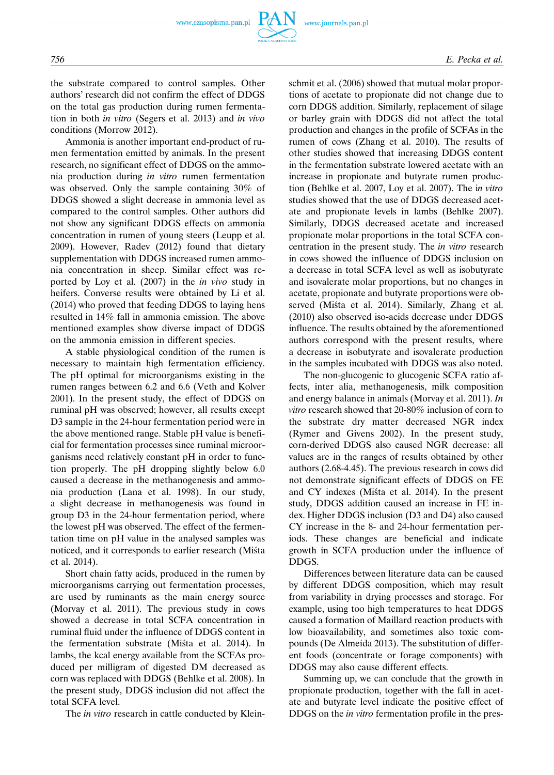the substrate compared to control samples. Other authors' research did not confirm the effect of DDGS on the total gas production during rumen fermentation in both *in vitro* (Segers et al. 2013) and *in vivo* conditions (Morrow 2012).

Ammonia is another important end-product of rumen fermentation emitted by animals. In the present research, no significant effect of DDGS on the ammonia production during *in vitro* rumen fermentation was observed. Only the sample containing 30% of DDGS showed a slight decrease in ammonia level as compared to the control samples. Other authors did not show any significant DDGS effects on ammonia concentration in rumen of young steers (Leupp et al. 2009). However, Radev (2012) found that dietary supplementation with DDGS increased rumen ammonia concentration in sheep. Similar effect was reported by Loy et al. (2007) in the *in vivo* study in heifers. Converse results were obtained by Li et al. (2014) who proved that feeding DDGS to laying hens resulted in 14% fall in ammonia emission. The above mentioned examples show diverse impact of DDGS on the ammonia emission in different species.

A stable physiological condition of the rumen is necessary to maintain high fermentation efficiency. The pH optimal for microorganisms existing in the rumen ranges between 6.2 and 6.6 (Veth and Kolver 2001). In the present study, the effect of DDGS on ruminal pH was observed; however, all results except D3 sample in the 24-hour fermentation period were in the above mentioned range. Stable pH value is beneficial for fermentation processes since ruminal microorganisms need relatively constant pH in order to function properly. The pH dropping slightly below 6.0 caused a decrease in the methanogenesis and ammonia production (Lana et al. 1998). In our study, a slight decrease in methanogenesis was found in group D3 in the 24-hour fermentation period, where the lowest pH was observed. The effect of the fermentation time on pH value in the analysed samples was noticed, and it corresponds to earlier research (Miśta et al. 2014).

Short chain fatty acids, produced in the rumen by microorganisms carrying out fermentation processes, are used by ruminants as the main energy source (Morvay et al. 2011). The previous study in cows showed a decrease in total SCFA concentration in ruminal fluid under the influence of DDGS content in the fermentation substrate (Miśta et al. 2014). In lambs, the kcal energy available from the SCFAs produced per milligram of digested DM decreased as corn was replaced with DDGS (Behlke et al. 2008). In the present study, DDGS inclusion did not affect the total SCFA level.

The *in vitro* research in cattle conducted by Klein-

schmit et al. (2006) showed that mutual molar proportions of acetate to propionate did not change due to corn DDGS addition. Similarly, replacement of silage or barley grain with DDGS did not affect the total production and changes in the profile of SCFAs in the rumen of cows (Zhang et al. 2010). The results of other studies showed that increasing DDGS content in the fermentation substrate lowered acetate with an increase in propionate and butyrate rumen production (Behlke et al. 2007, Loy et al. 2007). The i*n vitro* studies showed that the use of DDGS decreased acetate and propionate levels in lambs (Behlke 2007). Similarly, DDGS decreased acetate and increased propionate molar proportions in the total SCFA concentration in the present study. The *in vitro* research in cows showed the influence of DDGS inclusion on a decrease in total SCFA level as well as isobutyrate and isovalerate molar proportions, but no changes in acetate, propionate and butyrate proportions were observed (Miśta et al. 2014). Similarly, Zhang et al. (2010) also observed iso-acids decrease under DDGS influence. The results obtained by the aforementioned authors correspond with the present results, where a decrease in isobutyrate and isovalerate production in the samples incubated with DDGS was also noted.

The non-glucogenic to glucogenic SCFA ratio affects, inter alia, methanogenesis, milk composition and energy balance in animals (Morvay et al. 2011). *In vitro* research showed that 20-80% inclusion of corn to the substrate dry matter decreased NGR index (Rymer and Givens 2002). In the present study, corn-derived DDGS also caused NGR decrease: all values are in the ranges of results obtained by other authors (2.68-4.45). The previous research in cows did not demonstrate significant effects of DDGS on FE and CY indexes (Miśta et al. 2014). In the present study, DDGS addition caused an increase in FE index. Higher DDGS inclusion (D3 and D4) also caused CY increase in the 8- and 24-hour fermentation periods. These changes are beneficial and indicate growth in SCFA production under the influence of DDGS.

Differences between literature data can be caused by different DDGS composition, which may result from variability in drying processes and storage. For example, using too high temperatures to heat DDGS caused a formation of Maillard reaction products with low bioavailability, and sometimes also toxic compounds (De Almeida 2013). The substitution of different foods (concentrate or forage components) with DDGS may also cause different effects.

Summing up, we can conclude that the growth in propionate production, together with the fall in acetate and butyrate level indicate the positive effect of DDGS on the *in vitro* fermentation profile in the pres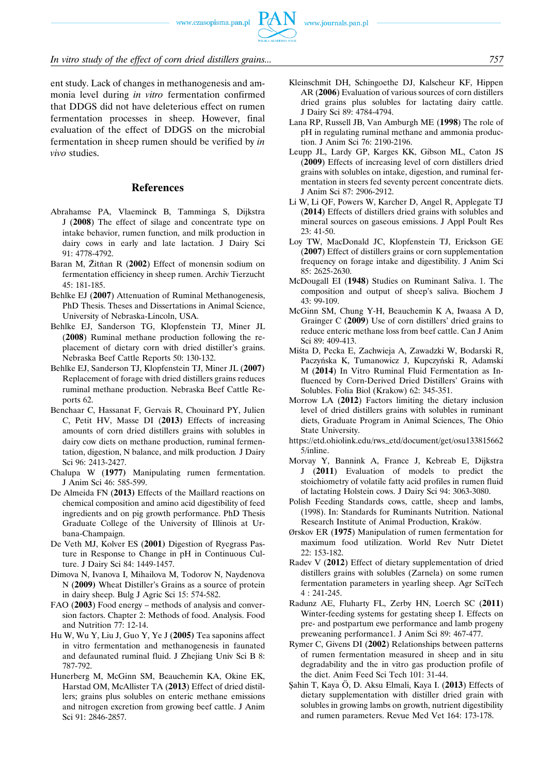www.czasopisma.pan.pl



## *In vitro study of the effect of corn dried distillers grains... 757*

ent study. Lack of changes in methanogenesis and ammonia level during *in vitro* fermentation confirmed that DDGS did not have deleterious effect on rumen fermentation processes in sheep. However, final evaluation of the effect of DDGS on the microbial fermentation in sheep rumen should be verified by *in vivo* studies.

## **References**

- Abrahamse PA, Vlaeminck B, Tamminga S, Dijkstra J (**2008**) The effect of silage and concentrate type on intake behavior, rumen function, and milk production in dairy cows in early and late lactation. J Dairy Sci 91: 4778-4792.
- Baran M, Žitňan R (2002) Effect of monensin sodium on fermentation efficiency in sheep rumen. Archiv Tierzucht 45: 181-185.
- Behlke EJ (**2007**) Attenuation of Ruminal Methanogenesis, PhD Thesis. Theses and Dissertations in Animal Science, University of Nebraska-Lincoln, USA.
- Behlke EJ, Sanderson TG, Klopfenstein TJ, Miner JL (**2008**) Ruminal methane production following the replacement of dietary corn with dried distiller's grains. Nebraska Beef Cattle Reports 50: 130-132.
- Behlke EJ, Sanderson TJ, Klopfenstein TJ, Miner JL (**2007)** Replacement of forage with dried distillers grains reduces ruminal methane production. Nebraska Beef Cattle Reports 62.
- Benchaar C, Hassanat F, Gervais R, Chouinard PY, Julien C, Petit HV, Masse DI (**2013)** Effects of increasing amounts of corn dried distillers grains with solubles in dairy cow diets on methane production, ruminal fermentation, digestion, N balance, and milk production*.* J Dairy Sci 96: 2413-2427.
- Chalupa W (**1977)** Manipulating rumen fermentation. J Anim Sci 46: 585-599.
- De Almeida FN (**2013)** Effects of the Maillard reactions on chemical composition and amino acid digestibility of feed ingredients and on pig growth performance. PhD Thesis Graduate College of the University of Illinois at Urbana-Champaign.
- De Veth MJ, Kolver ES (**2001)** Digestion of Ryegrass Pasture in Response to Change in pH in Continuous Culture. J Dairy Sci 84: 1449-1457.
- Dimova N, Ivanova I, Mihailova M, Todorov N, Naydenova N (**2009)** Wheat Distiller's Grains as a source of protein in dairy sheep. Bulg J Agric Sci 15: 574-582.
- FAO (**2003**) Food energy methods of analysis and conversion factors. Chapter 2: Methods of food. Analysis. Food and Nutrition 77: 12-14.
- Hu W, Wu Y, Liu J, Guo Y, Ye J (**2005)** Tea saponins affect in vitro fermentation and methanogenesis in faunated and defaunated ruminal fluid. J Zhejiang Univ Sci B 8: 787-792.
- Hunerberg M, McGinn SM, Beauchemin KA, Okine EK, Harstad OM, McAllister TA (**2013**) Effect of dried distillers; grains plus solubles on enteric methane emissions and nitrogen excretion from growing beef cattle. J Anim Sci 91: 2846-2857.
- Kleinschmit DH, Schingoethe DJ, Kalscheur KF, Hippen AR (**2006**) Evaluation of various sources of corn distillers dried grains plus solubles for lactating dairy cattle. J Dairy Sci 89: 4784-4794.
- Lana RP, Russell JB, Van Amburgh ME (**1998**) The role of pH in regulating ruminal methane and ammonia production. J Anim Sci 76: 2190-2196.
- Leupp JL, Lardy GP, Karges KK, Gibson ML, Caton JS (**2009**) Effects of increasing level of corn distillers dried grains with solubles on intake, digestion, and ruminal fermentation in steers fed seventy percent concentrate diets. J Anim Sci 87: 2906-2912.
- Li W, Li QF, Powers W, Karcher D, Angel R, Applegate TJ (**2014**) Effects of distillers dried grains with solubles and mineral sources on gaseous emissions. J Appl Poult Res  $23:41-50.$
- Loy TW, MacDonald JC, Klopfenstein TJ, Erickson GE (**2007**) Effect of distillers grains or corn supplementation frequency on forage intake and digestibility. J Anim Sci 85: 2625-2630.
- McDougall EI (**1948**) Studies on Ruminant Saliva. 1. The composition and output of sheep's saliva. Biochem J 43: 99-109.
- McGinn SM, Chung Y-H, Beauchemin K A, Iwaasa A D, Grainger C **(2009**) Use of corn distillers' dried grains to reduce enteric methane loss from beef cattle. Can J Anim Sci 89: 409-413.
- Miśta D, Pecka E, Zachwieja A, Zawadzki W, Bodarski R, Paczyńska K, Tumanowicz J, Kupczyński R, Adamski M (**2014**) In Vitro Ruminal Fluid Fermentation as Influenced by Corn-Derived Dried Distillers' Grains with Solubles. Folia Biol (Krakow) 62: 345-351.
- Morrow LA (**2012**) Factors limiting the dietary inclusion level of dried distillers grains with solubles in ruminant diets, Graduate Program in Animal Sciences, The Ohio State University.
- https://etd.ohiolink.edu/rws–etd/document/get/osu133815662 5/inline.
- Morvay Y, Bannink A, France J, Kebreab E, Dijkstra J (**2011**) Evaluation of models to predict the stoichiometry of volatile fatty acid profiles in rumen fluid of lactating Holstein cows. J Dairy Sci 94: 3063-3080.
- Polish Feeding Standards cows, cattle, sheep and lambs, (1998). In: Standards for Ruminants Nutrition. National Research Institute of Animal Production, Kraków.
- Ørskov ER (**1975**) Manipulation of rumen fermentation for maximum food utilization. World Rev Nutr Dietet 22: 153-182.
- Radev V (**2012**) Effect of dietary supplementation of dried distillers grains with solubles (Zarnela) on some rumen fermentation parameters in yearling sheep. Agr SciTech 4 : 241-245.
- Radunz AE, Fluharty FL, Zerby HN, Loerch SC (**2011**) Winter-feeding systems for gestating sheep I. Effects on pre- and postpartum ewe performance and lamb progeny preweaning performance1. J Anim Sci 89: 467-477.
- Rymer C, Givens DI (**2002**) Relationships between patterns of rumen fermentation measured in sheep and in situ degradability and the in vitro gas production profile of the diet. Anim Feed Sci Tech 101: 31-44.
- S¸ahin T, Kaya O¨, D. Aksu Elmali, Kaya I. (**2013**) Effects of dietary supplementation with distiller dried grain with solubles in growing lambs on growth, nutrient digestibility and rumen parameters. Revue Med Vet 164: 173-178.